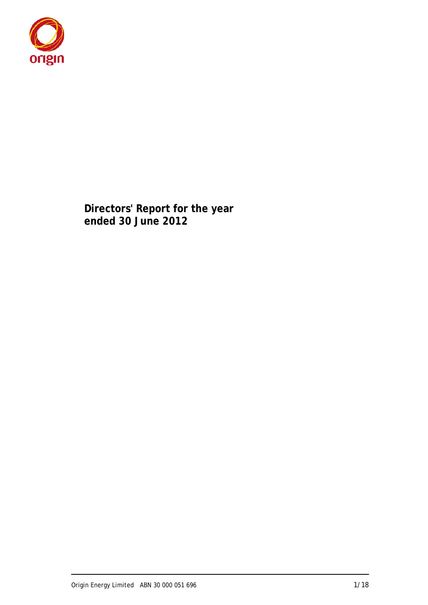

**Directors' Report for the year ended 30 June 2012**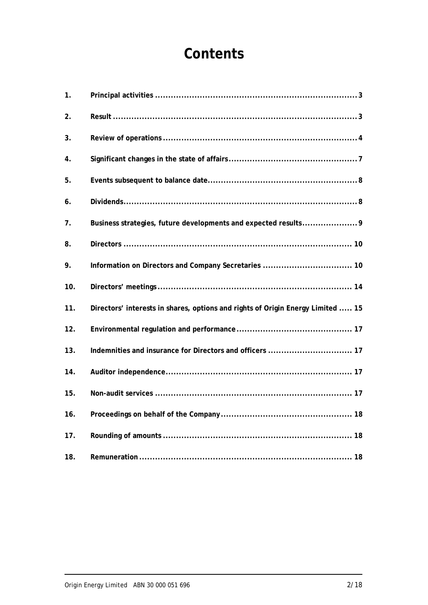# **Contents**

| 1.  |                                                                                 |
|-----|---------------------------------------------------------------------------------|
| 2.  |                                                                                 |
| 3.  |                                                                                 |
| 4.  |                                                                                 |
| 5.  |                                                                                 |
| 6.  |                                                                                 |
| 7.  |                                                                                 |
| 8.  |                                                                                 |
| 9.  |                                                                                 |
| 10. |                                                                                 |
| 11. | Directors' interests in shares, options and rights of Origin Energy Limited  15 |
| 12. |                                                                                 |
| 13. |                                                                                 |
| 14. |                                                                                 |
| 15. |                                                                                 |
| 16. |                                                                                 |
| 17. |                                                                                 |
| 18. |                                                                                 |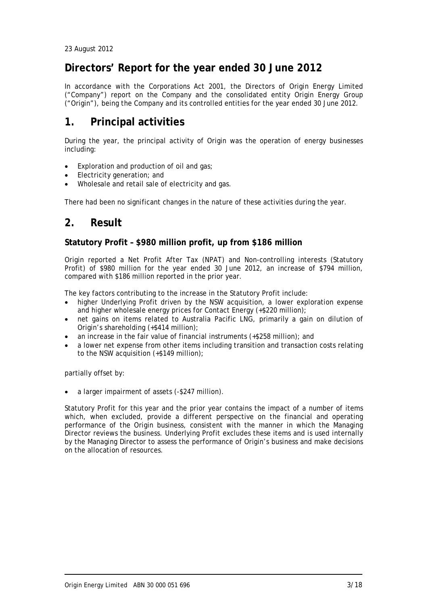23 August 2012

### **Directors' Report for the year ended 30 June 2012**

In accordance with the Corporations Act 2001, the Directors of Origin Energy Limited ("Company") report on the Company and the consolidated entity Origin Energy Group ("Origin"), being the Company and its controlled entities for the year ended 30 June 2012.

### **1. Principal activities**

During the year, the principal activity of Origin was the operation of energy businesses including:

- Exploration and production of oil and gas;
- Electricity generation; and
- Wholesale and retail sale of electricity and gas.

There had been no significant changes in the nature of these activities during the year.

### **2. Result**

### **Statutory Profit – \$980 million profit, up from \$186 million**

Origin reported a Net Profit After Tax (NPAT) and Non-controlling interests (Statutory Profit) of \$980 million for the year ended 30 June 2012, an increase of \$794 million, compared with \$186 million reported in the prior year.

The key factors contributing to the increase in the Statutory Profit include:

- higher Underlying Profit driven by the NSW acquisition, a lower exploration expense and higher wholesale energy prices for Contact Energy (+\$220 million);
- net gains on items related to Australia Pacific LNG, primarily a gain on dilution of Origin's shareholding (+\$414 million);
- an increase in the fair value of financial instruments (+\$258 million); and
- a lower net expense from other items including transition and transaction costs relating to the NSW acquisition (+\$149 million);

partially offset by:

a larger impairment of assets (-\$247 million).

Statutory Profit for this year and the prior year contains the impact of a number of items which, when excluded, provide a different perspective on the financial and operating performance of the Origin business, consistent with the manner in which the Managing Director reviews the business. Underlying Profit excludes these items and is used internally by the Managing Director to assess the performance of Origin's business and make decisions on the allocation of resources.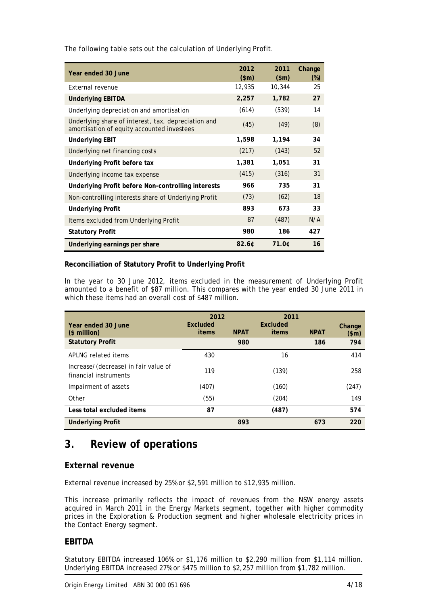| Year ended 30 June                                                                                | 2012<br>\$m\$ | 2011<br>\$m\$ | Change<br>$(\%)$ |
|---------------------------------------------------------------------------------------------------|---------------|---------------|------------------|
| External revenue                                                                                  | 12,935        | 10,344        | 25               |
| <b>Underlying EBITDA</b>                                                                          | 2,257         | 1,782         | 27               |
| Underlying depreciation and amortisation                                                          | (614)         | (539)         | 14               |
| Underlying share of interest, tax, depreciation and<br>amortisation of equity accounted investees | (45)          | (49)          | (8)              |
| <b>Underlying EBIT</b>                                                                            | 1,598         | 1,194         | 34               |
| Underlying net financing costs                                                                    | (217)         | (143)         | 52               |
| Underlying Profit before tax                                                                      | 1,381         | 1,051         | 31               |
| Underlying income tax expense                                                                     | (415)         | (316)         | 31               |
| Underlying Profit before Non-controlling interests                                                | 966           | 735           | 31               |
| Non-controlling interests share of Underlying Profit                                              | (73)          | (62)          | 18               |
| <b>Underlying Profit</b>                                                                          | 893           | 673           | 33               |
| Items excluded from Underlying Profit                                                             | 87            | (487)         | N/A              |
| <b>Statutory Profit</b>                                                                           | 980           | 186           | 427              |
| Underlying earnings per share                                                                     | $82.6$ ¢      | 71.0¢         | 16               |

The following table sets out the calculation of Underlying Profit.

### **Reconciliation of Statutory Profit to Underlying Profit**

In the year to 30 June 2012, items excluded in the measurement of Underlying Profit amounted to a benefit of \$87 million. This compares with the year ended 30 June 2011 in which these items had an overall cost of \$487 million.

| Year ended 30 June<br>(\$ million)                            | 2012<br>Excluded<br>items | <b>NPAT</b> | 2011<br>Excluded<br>items | <b>NPAT</b> | Change<br>\$m\$ |
|---------------------------------------------------------------|---------------------------|-------------|---------------------------|-------------|-----------------|
| <b>Statutory Profit</b>                                       |                           | 980         |                           | 186         | 794             |
| APLNG related items                                           | 430                       |             | 16                        |             | 414             |
| Increase/(decrease) in fair value of<br>financial instruments | 119                       |             | (139)                     |             | 258             |
| Impairment of assets                                          | (407)                     |             | (160)                     |             | (247)           |
| Other                                                         | (55)                      |             | (204)                     |             | 149             |
| Less total excluded items                                     | 87                        |             | (487)                     |             | 574             |
| <b>Underlying Profit</b>                                      |                           | 893         |                           | 673         | 220             |

# **3. Review of operations**

### **External revenue**

External revenue increased by 25% or \$2,591 million to \$12,935 million.

This increase primarily reflects the impact of revenues from the NSW energy assets acquired in March 2011 in the Energy Markets segment, together with higher commodity prices in the Exploration & Production segment and higher wholesale electricity prices in the Contact Energy segment.

### **EBITDA**

Statutory EBITDA increased 106% or \$1,176 million to \$2,290 million from \$1,114 million. Underlying EBITDA increased 27% or \$475 million to \$2,257 million from \$1,782 million.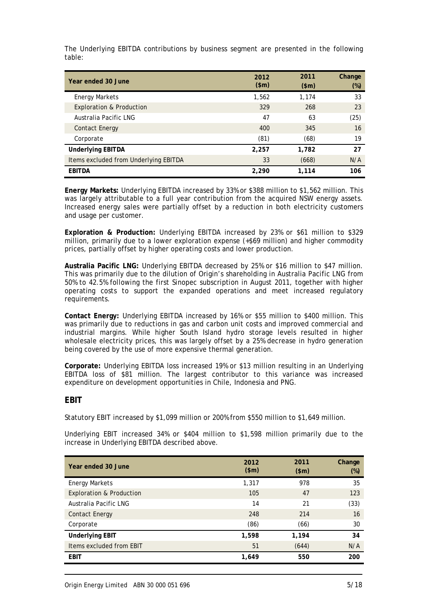The Underlying EBITDA contributions by business segment are presented in the following table:

| Year ended 30 June                    | 2012<br>\$m\$ | 2011<br>\$m\$ | Change<br>$(\%)$ |
|---------------------------------------|---------------|---------------|------------------|
| <b>Energy Markets</b>                 | 1,562         | 1.174         | 33               |
| <b>Exploration &amp; Production</b>   | 329           | 268           | 23               |
| Australia Pacific LNG                 | 47            | 63            | (25)             |
| <b>Contact Energy</b>                 | 400           | 345           | 16               |
| Corporate                             | (81)          | (68)          | 19               |
| <b>Underlying EBITDA</b>              | 2,257         | 1,782         | 27               |
| Items excluded from Underlying EBITDA | 33            | (668)         | N/A              |
| <b>EBITDA</b>                         | 2,290         | 1,114         | 106              |

**Energy Markets:** Underlying EBITDA increased by 33% or \$388 million to \$1,562 million. This was largely attributable to a full year contribution from the acquired NSW energy assets. Increased energy sales were partially offset by a reduction in both electricity customers and usage per customer.

**Exploration & Production:** Underlying EBITDA increased by 23% or \$61 million to \$329 million, primarily due to a lower exploration expense (+\$69 million) and higher commodity prices, partially offset by higher operating costs and lower production.

**Australia Pacific LNG:** Underlying EBITDA decreased by 25% or \$16 million to \$47 million. This was primarily due to the dilution of Origin's shareholding in Australia Pacific LNG from 50% to 42.5% following the first Sinopec subscription in August 2011, together with higher operating costs to support the expanded operations and meet increased regulatory requirements.

**Contact Energy:** Underlying EBITDA increased by 16% or \$55 million to \$400 million. This was primarily due to reductions in gas and carbon unit costs and improved commercial and industrial margins. While higher South Island hydro storage levels resulted in higher wholesale electricity prices, this was largely offset by a 25% decrease in hydro generation being covered by the use of more expensive thermal generation.

**Corporate:** Underlying EBITDA loss increased 19% or \$13 million resulting in an Underlying EBITDA loss of \$81 million. The largest contributor to this variance was increased expenditure on development opportunities in Chile, Indonesia and PNG.

### **EBIT**

Statutory EBIT increased by \$1,099 million or 200% from \$550 million to \$1,649 million.

Underlying EBIT increased 34% or \$404 million to \$1,598 million primarily due to the increase in Underlying EBITDA described above.

| Year ended 30 June                  | 2012<br>\$m\$ | 2011<br>\$m\$ | Change<br>$(\%)$ |
|-------------------------------------|---------------|---------------|------------------|
| <b>Energy Markets</b>               | 1,317         | 978           | 35               |
| <b>Exploration &amp; Production</b> | 105           | 47            | 123              |
| Australia Pacific LNG               | 14            | 21            | (33)             |
| <b>Contact Energy</b>               | 248           | 214           | 16               |
| Corporate                           | (86)          | (66)          | 30               |
| <b>Underlying EBIT</b>              | 1,598         | 1,194         | 34               |
| Items excluded from EBIT            | 51            | (644)         | N/A              |
| <b>EBIT</b>                         | 1,649         | 550           | 200              |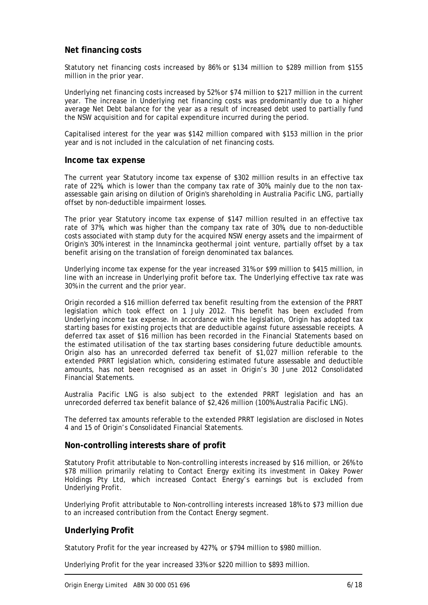### **Net financing costs**

Statutory net financing costs increased by 86% or \$134 million to \$289 million from \$155 million in the prior year.

Underlying net financing costs increased by 52% or \$74 million to \$217 million in the current year. The increase in Underlying net financing costs was predominantly due to a higher average Net Debt balance for the year as a result of increased debt used to partially fund the NSW acquisition and for capital expenditure incurred during the period.

Capitalised interest for the year was \$142 million compared with \$153 million in the prior year and is not included in the calculation of net financing costs.

#### **Income tax expense**

The current year Statutory income tax expense of \$302 million results in an effective tax rate of 22%, which is lower than the company tax rate of 30%, mainly due to the non taxassessable gain arising on dilution of Origin's shareholding in Australia Pacific LNG, partially offset by non-deductible impairment losses.

The prior year Statutory income tax expense of \$147 million resulted in an effective tax rate of 37%, which was higher than the company tax rate of 30%, due to non-deductible costs associated with stamp duty for the acquired NSW energy assets and the impairment of Origin's 30% interest in the Innamincka geothermal joint venture, partially offset by a tax benefit arising on the translation of foreign denominated tax balances.

Underlying income tax expense for the year increased 31% or \$99 million to \$415 million, in line with an increase in Underlying profit before tax. The Underlying effective tax rate was 30% in the current and the prior year.

Origin recorded a \$16 million deferred tax benefit resulting from the extension of the PRRT legislation which took effect on 1 July 2012. This benefit has been excluded from Underlying income tax expense. In accordance with the legislation, Origin has adopted tax starting bases for existing projects that are deductible against future assessable receipts. A deferred tax asset of \$16 million has been recorded in the Financial Statements based on the estimated utilisation of the tax starting bases considering future deductible amounts. Origin also has an unrecorded deferred tax benefit of \$1,027 million referable to the extended PRRT legislation which, considering estimated future assessable and deductible amounts, has not been recognised as an asset in Origin's 30 June 2012 Consolidated Financial Statements.

Australia Pacific LNG is also subject to the extended PRRT legislation and has an unrecorded deferred tax benefit balance of \$2,426 million (100% Australia Pacific LNG).

The deferred tax amounts referable to the extended PRRT legislation are disclosed in Notes 4 and 15 of Origin's Consolidated Financial Statements.

### **Non-controlling interests share of profit**

Statutory Profit attributable to Non-controlling interests increased by \$16 million, or 26% to \$78 million primarily relating to Contact Energy exiting its investment in Oakey Power Holdings Pty Ltd, which increased Contact Energy's earnings but is excluded from Underlying Profit.

Underlying Profit attributable to Non-controlling interests increased 18% to \$73 million due to an increased contribution from the Contact Energy segment.

#### **Underlying Profit**

Statutory Profit for the year increased by 427%, or \$794 million to \$980 million.

Underlying Profit for the year increased 33% or \$220 million to \$893 million.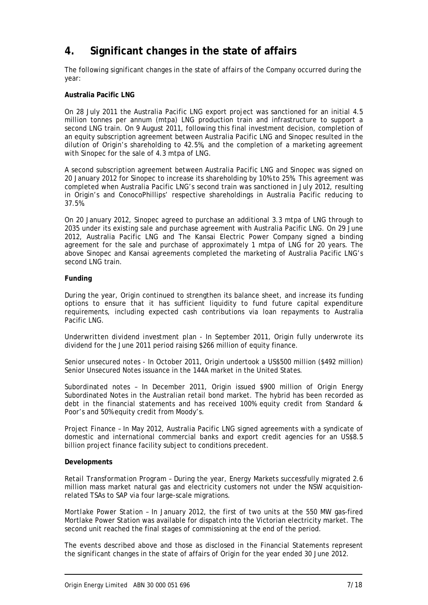# **4. Significant changes in the state of affairs**

The following significant changes in the state of affairs of the Company occurred during the year:

### **Australia Pacific LNG**

On 28 July 2011 the Australia Pacific LNG export project was sanctioned for an initial 4.5 million tonnes per annum (mtpa) LNG production train and infrastructure to support a second LNG train. On 9 August 2011, following this final investment decision, completion of an equity subscription agreement between Australia Pacific LNG and Sinopec resulted in the dilution of Origin's shareholding to 42.5%, and the completion of a marketing agreement with Sinopec for the sale of 4.3 mtpa of LNG.

A second subscription agreement between Australia Pacific LNG and Sinopec was signed on 20 January 2012 for Sinopec to increase its shareholding by 10% to 25%. This agreement was completed when Australia Pacific LNG's second train was sanctioned in July 2012, resulting in Origin's and ConocoPhillips' respective shareholdings in Australia Pacific reducing to 37.5%.

On 20 January 2012, Sinopec agreed to purchase an additional 3.3 mtpa of LNG through to 2035 under its existing sale and purchase agreement with Australia Pacific LNG. On 29 June 2012, Australia Pacific LNG and The Kansai Electric Power Company signed a binding agreement for the sale and purchase of approximately 1 mtpa of LNG for 20 years. The above Sinopec and Kansai agreements completed the marketing of Australia Pacific LNG's second LNG train.

#### **Funding**

During the year, Origin continued to strengthen its balance sheet, and increase its funding options to ensure that it has sufficient liquidity to fund future capital expenditure requirements, including expected cash contributions via loan repayments to Australia Pacific LNG.

*Underwritten dividend investment plan* - In September 2011, Origin fully underwrote its dividend for the June 2011 period raising \$266 million of equity finance.

*Senior unsecured notes* - In October 2011, Origin undertook a US\$500 million (\$492 million) Senior Unsecured Notes issuance in the 144A market in the United States.

*Subordinated notes* – In December 2011, Origin issued \$900 million of Origin Energy Subordinated Notes in the Australian retail bond market. The hybrid has been recorded as debt in the financial statements and has received 100% equity credit from Standard & Poor's and 50% equity credit from Moody's.

*Project Finance* – In May 2012, Australia Pacific LNG signed agreements with a syndicate of domestic and international commercial banks and export credit agencies for an US\$8.5 billion project finance facility subject to conditions precedent.

#### **Developments**

*Retail Transformation Program* – During the year, Energy Markets successfully migrated 2.6 million mass market natural gas and electricity customers not under the NSW acquisitionrelated TSAs to SAP via four large-scale migrations.

*Mortlake Power Station* – In January 2012, the first of two units at the 550 MW gas-fired Mortlake Power Station was available for dispatch into the Victorian electricity market. The second unit reached the final stages of commissioning at the end of the period.

The events described above and those as disclosed in the Financial Statements represent the significant changes in the state of affairs of Origin for the year ended 30 June 2012.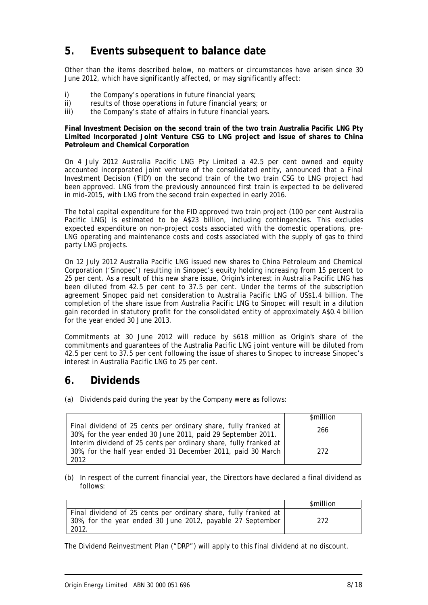# **5. Events subsequent to balance date**

Other than the items described below, no matters or circumstances have arisen since 30 June 2012, which have significantly affected, or may significantly affect:

- i) the Company's operations in future financial years;
- ii) results of those operations in future financial years; or
- iii) the Company's state of affairs in future financial years.

**Final Investment Decision on the second train of the two train Australia Pacific LNG Pty Limited Incorporated Joint Venture CSG to LNG project and issue of shares to China Petroleum and Chemical Corporation** 

On 4 July 2012 Australia Pacific LNG Pty Limited a 42.5 per cent owned and equity accounted incorporated joint venture of the consolidated entity, announced that a Final Investment Decision ('FID') on the second train of the two train CSG to LNG project had been approved. LNG from the previously announced first train is expected to be delivered in mid-2015, with LNG from the second train expected in early 2016.

The total capital expenditure for the FID approved two train project (100 per cent Australia Pacific LNG) is estimated to be A\$23 billion, including contingencies. This excludes expected expenditure on non-project costs associated with the domestic operations, pre-LNG operating and maintenance costs and costs associated with the supply of gas to third party LNG projects.

On 12 July 2012 Australia Pacific LNG issued new shares to China Petroleum and Chemical Corporation ('Sinopec') resulting in Sinopec's equity holding increasing from 15 percent to 25 per cent. As a result of this new share issue, Origin's interest in Australia Pacific LNG has been diluted from 42.5 per cent to 37.5 per cent. Under the terms of the subscription agreement Sinopec paid net consideration to Australia Pacific LNG of US\$1.4 billion. The completion of the share issue from Australia Pacific LNG to Sinopec will result in a dilution gain recorded in statutory profit for the consolidated entity of approximately A\$0.4 billion for the year ended 30 June 2013.

Commitments at 30 June 2012 will reduce by \$618 million as Origin's share of the commitments and guarantees of the Australia Pacific LNG joint venture will be diluted from 42.5 per cent to 37.5 per cent following the issue of shares to Sinopec to increase Sinopec's interest in Australia Pacific LNG to 25 per cent.

### **6. Dividends**

(a) Dividends paid during the year by the Company were as follows:

|                                                                                                                                           | \$million |
|-------------------------------------------------------------------------------------------------------------------------------------------|-----------|
| Final dividend of 25 cents per ordinary share, fully franked at<br>30%, for the year ended 30 June 2011, paid 29 September 2011.          | 266       |
| Interim dividend of 25 cents per ordinary share, fully franked at<br>30%, for the half year ended 31 December 2011, paid 30 March<br>2012 | 272       |

(b) In respect of the current financial year, the Directors have declared a final dividend as follows:

|                                                                                                                                        | <b>\$million</b> |
|----------------------------------------------------------------------------------------------------------------------------------------|------------------|
| Final dividend of 25 cents per ordinary share, fully franked at<br>30%, for the year ended 30 June 2012, payable 27 September<br>2012. | 272              |

The Dividend Reinvestment Plan ("DRP") will apply to this final dividend at no discount.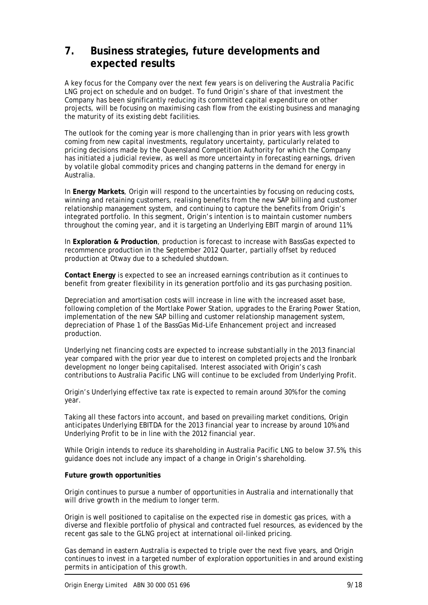# **7. Business strategies, future developments and expected results**

A key focus for the Company over the next few years is on delivering the Australia Pacific LNG project on schedule and on budget. To fund Origin's share of that investment the Company has been significantly reducing its committed capital expenditure on other projects, will be focusing on maximising cash flow from the existing business and managing the maturity of its existing debt facilities.

The outlook for the coming year is more challenging than in prior years with less growth coming from new capital investments, regulatory uncertainty, particularly related to pricing decisions made by the Queensland Competition Authority for which the Company has initiated a judicial review, as well as more uncertainty in forecasting earnings, driven by volatile global commodity prices and changing patterns in the demand for energy in Australia.

In **Energy Markets**, Origin will respond to the uncertainties by focusing on reducing costs, winning and retaining customers, realising benefits from the new SAP billing and customer relationship management system, and continuing to capture the benefits from Origin's integrated portfolio. In this segment, Origin's intention is to maintain customer numbers throughout the coming year, and it is targeting an Underlying EBIT margin of around 11%.

In **Exploration & Production**, production is forecast to increase with BassGas expected to recommence production in the September 2012 Quarter, partially offset by reduced production at Otway due to a scheduled shutdown.

**Contact Energy** is expected to see an increased earnings contribution as it continues to benefit from greater flexibility in its generation portfolio and its gas purchasing position.

Depreciation and amortisation costs will increase in line with the increased asset base, following completion of the Mortlake Power Station, upgrades to the Eraring Power Station, implementation of the new SAP billing and customer relationship management system, depreciation of Phase 1 of the BassGas Mid-Life Enhancement project and increased production.

Underlying net financing costs are expected to increase substantially in the 2013 financial year compared with the prior year due to interest on completed projects and the Ironbark development no longer being capitalised. Interest associated with Origin's cash contributions to Australia Pacific LNG will continue to be excluded from Underlying Profit.

Origin's Underlying effective tax rate is expected to remain around 30% for the coming year.

Taking all these factors into account, and based on prevailing market conditions, Origin anticipates Underlying EBITDA for the 2013 financial year to increase by around 10% and Underlying Profit to be in line with the 2012 financial year.

While Origin intends to reduce its shareholding in Australia Pacific LNG to below 37.5%, this guidance does not include any impact of a change in Origin's shareholding.

#### **Future growth opportunities**

Origin continues to pursue a number of opportunities in Australia and internationally that will drive growth in the medium to longer term.

Origin is well positioned to capitalise on the expected rise in domestic gas prices, with a diverse and flexible portfolio of physical and contracted fuel resources, as evidenced by the recent gas sale to the GLNG project at international oil-linked pricing.

Gas demand in eastern Australia is expected to triple over the next five years, and Origin continues to invest in a targeted number of exploration opportunities in and around existing permits in anticipation of this growth.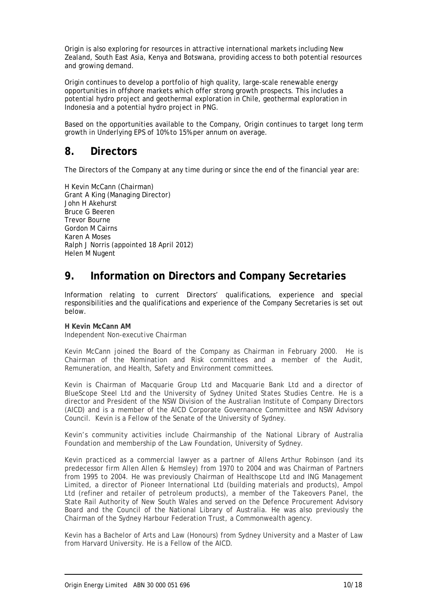Origin is also exploring for resources in attractive international markets including New Zealand, South East Asia, Kenya and Botswana, providing access to both potential resources and growing demand.

Origin continues to develop a portfolio of high quality, large-scale renewable energy opportunities in offshore markets which offer strong growth prospects. This includes a potential hydro project and geothermal exploration in Chile, geothermal exploration in Indonesia and a potential hydro project in PNG.

Based on the opportunities available to the Company, Origin continues to target long term growth in Underlying EPS of 10% to 15% per annum on average.

### **8. Directors**

The Directors of the Company at any time during or since the end of the financial year are:

H Kevin McCann (Chairman) Grant A King (Managing Director) John H Akehurst Bruce G Beeren Trevor Bourne Gordon M Cairns Karen A Moses Ralph J Norris (appointed 18 April 2012) Helen M Nugent

# **9. Information on Directors and Company Secretaries**

Information relating to current Directors' qualifications, experience and special responsibilities and the qualifications and experience of the Company Secretaries is set out below.

### **H Kevin McCann AM**

*Independent Non-executive Chairman* 

Kevin McCann joined the Board of the Company as Chairman in February 2000. He is Chairman of the Nomination and Risk committees and a member of the Audit, Remuneration, and Health, Safety and Environment committees.

Kevin is Chairman of Macquarie Group Ltd and Macquarie Bank Ltd and a director of BlueScope Steel Ltd and the University of Sydney United States Studies Centre. He is a director and President of the NSW Division of the Australian Institute of Company Directors (AICD) and is a member of the AICD Corporate Governance Committee and NSW Advisory Council. Kevin is a Fellow of the Senate of the University of Sydney.

Kevin's community activities include Chairmanship of the National Library of Australia Foundation and membership of the Law Foundation, University of Sydney.

Kevin practiced as a commercial lawyer as a partner of Allens Arthur Robinson (and its predecessor firm Allen Allen & Hemsley) from 1970 to 2004 and was Chairman of Partners from 1995 to 2004. He was previously Chairman of Healthscope Ltd and ING Management Limited, a director of Pioneer International Ltd (building materials and products), Ampol Ltd (refiner and retailer of petroleum products), a member of the Takeovers Panel, the State Rail Authority of New South Wales and served on the Defence Procurement Advisory Board and the Council of the National Library of Australia. He was also previously the Chairman of the Sydney Harbour Federation Trust, a Commonwealth agency.

Kevin has a Bachelor of Arts and Law (Honours) from Sydney University and a Master of Law from Harvard University. He is a Fellow of the AICD.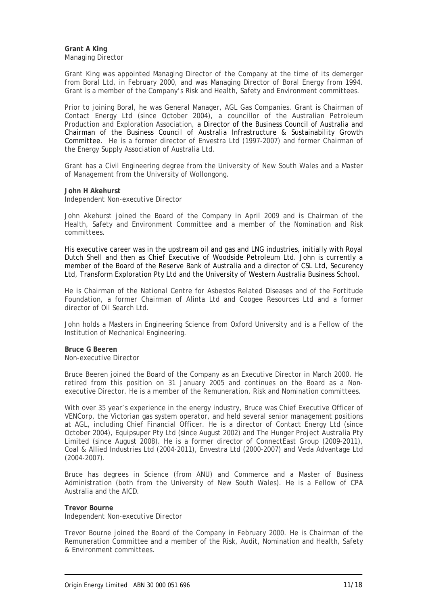**Grant A King**  *Managing Director* 

Grant King was appointed Managing Director of the Company at the time of its demerger from Boral Ltd, in February 2000, and was Managing Director of Boral Energy from 1994. Grant is a member of the Company's Risk and Health, Safety and Environment committees.

Prior to joining Boral, he was General Manager, AGL Gas Companies. Grant is Chairman of Contact Energy Ltd (since October 2004), a councillor of the Australian Petroleum Production and Exploration Association, a Director of the Business Council of Australia and Chairman of the Business Council of Australia Infrastructure & Sustainability Growth Committee. He is a former director of Envestra Ltd (1997-2007) and former Chairman of the Energy Supply Association of Australia Ltd.

Grant has a Civil Engineering degree from the University of New South Wales and a Master of Management from the University of Wollongong.

#### **John H Akehurst**

*Independent Non-executive Director* 

John Akehurst joined the Board of the Company in April 2009 and is Chairman of the Health, Safety and Environment Committee and a member of the Nomination and Risk committees.

His executive career was in the upstream oil and gas and LNG industries, initially with Royal Dutch Shell and then as Chief Executive of Woodside Petroleum Ltd. John is currently a member of the Board of the Reserve Bank of Australia and a director of CSL Ltd, Securency Ltd, Transform Exploration Pty Ltd and the University of Western Australia Business School.

He is Chairman of the National Centre for Asbestos Related Diseases and of the Fortitude Foundation, a former Chairman of Alinta Ltd and Coogee Resources Ltd and a former director of Oil Search Ltd.

John holds a Masters in Engineering Science from Oxford University and is a Fellow of the Institution of Mechanical Engineering.

**Bruce G Beeren**  *Non-executive Director* 

Bruce Beeren joined the Board of the Company as an Executive Director in March 2000. He retired from this position on 31 January 2005 and continues on the Board as a Nonexecutive Director. He is a member of the Remuneration, Risk and Nomination committees.

With over 35 year's experience in the energy industry, Bruce was Chief Executive Officer of VENCorp, the Victorian gas system operator, and held several senior management positions at AGL, including Chief Financial Officer. He is a director of Contact Energy Ltd (since October 2004), Equipsuper Pty Ltd (since August 2002) and The Hunger Project Australia Pty Limited (since August 2008). He is a former director of ConnectEast Group (2009-2011), Coal & Allied Industries Ltd (2004-2011), Envestra Ltd (2000-2007) and Veda Advantage Ltd (2004-2007).

Bruce has degrees in Science (from ANU) and Commerce and a Master of Business Administration (both from the University of New South Wales). He is a Fellow of CPA Australia and the AICD.

#### **Trevor Bourne**

*Independent Non-executive Director* 

Trevor Bourne joined the Board of the Company in February 2000. He is Chairman of the Remuneration Committee and a member of the Risk, Audit, Nomination and Health, Safety & Environment committees.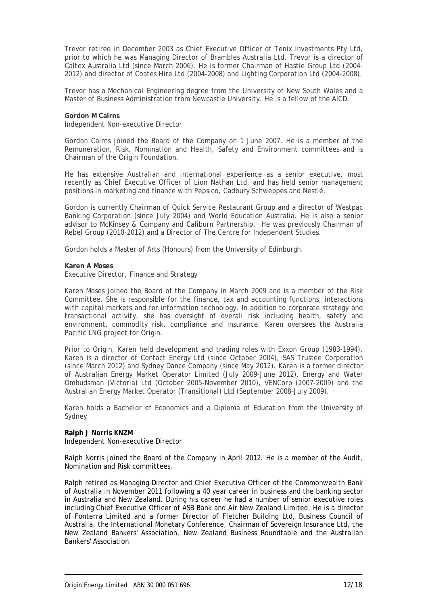Trevor retired in December 2003 as Chief Executive Officer of Tenix Investments Pty Ltd, prior to which he was Managing Director of Brambles Australia Ltd. Trevor is a director of Caltex Australia Ltd (since March 2006). He is former Chairman of Hastie Group Ltd (2004- 2012) and director of Coates Hire Ltd (2004-2008) and Lighting Corporation Ltd (2004-2008).

Trevor has a Mechanical Engineering degree from the University of New South Wales and a Master of Business Administration from Newcastle University. He is a fellow of the AICD.

**Gordon M Cairns**  *Independent Non-executive Director* 

Gordon Cairns joined the Board of the Company on 1 June 2007. He is a member of the Remuneration, Risk, Nomination and Health, Safety and Environment committees and is Chairman of the Origin Foundation.

He has extensive Australian and international experience as a senior executive, most recently as Chief Executive Officer of Lion Nathan Ltd, and has held senior management positions in marketing and finance with Pepsico, Cadbury Schweppes and Nestlé.

Gordon is currently Chairman of Quick Service Restaurant Group and a director of Westpac Banking Corporation (since July 2004) and World Education Australia. He is also a senior advisor to McKinsey & Company and Caliburn Partnership. He was previously Chairman of Rebel Group (2010-2012) and a Director of The Centre for Independent Studies.

Gordon holds a Master of Arts (Honours) from the University of Edinburgh.

#### **Karen A Moses**

*Executive Director, Finance and Strategy* 

Karen Moses joined the Board of the Company in March 2009 and is a member of the Risk Committee. She is responsible for the finance, tax and accounting functions, interactions with capital markets and for information technology. In addition to corporate strategy and transactional activity, she has oversight of overall risk including health, safety and environment, commodity risk, compliance and insurance. Karen oversees the Australia Pacific LNG project for Origin.

Prior to Origin, Karen held development and trading roles with Exxon Group (1983-1994). Karen is a director of Contact Energy Ltd (since October 2004), SAS Trustee Corporation (since March 2012) and Sydney Dance Company (since May 2012). Karen is a former director of Australian Energy Market Operator Limited (July 2009-June 2012), Energy and Water Ombudsman (Victoria) Ltd (October 2005-November 2010), VENCorp (2007-2009) and the Australian Energy Market Operator (Transitional) Ltd (September 2008-July 2009).

Karen holds a Bachelor of Economics and a Diploma of Education from the University of Sydney.

#### **Ralph J Norris KNZM**

*Independent Non-executive Director* 

Ralph Norris joined the Board of the Company in April 2012. He is a member of the Audit, Nomination and Risk committees.

Ralph retired as Managing Director and Chief Executive Officer of the Commonwealth Bank of Australia in November 2011 following a 40 year career in business and the banking sector in Australia and New Zealand. During his career he had a number of senior executive roles including Chief Executive Officer of ASB Bank and Air New Zealand Limited. He is a director of Fonterra Limited and a former Director of Fletcher Building Ltd, Business Council of Australia, the International Monetary Conference, Chairman of Sovereign Insurance Ltd, the New Zealand Bankers' Association, New Zealand Business Roundtable and the Australian Bankers' Association.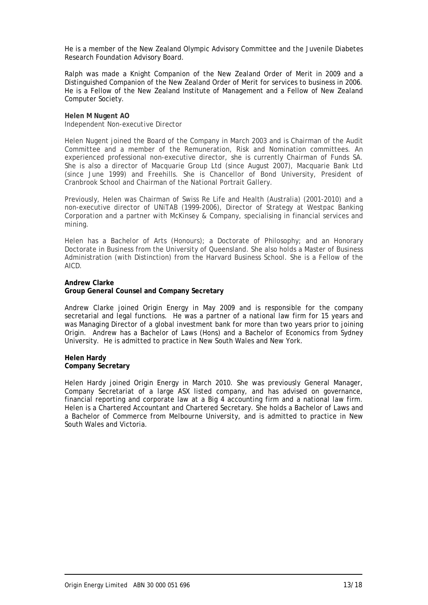He is a member of the New Zealand Olympic Advisory Committee and the Juvenile Diabetes Research Foundation Advisory Board.

Ralph was made a Knight Companion of the New Zealand Order of Merit in 2009 and a Distinguished Companion of the New Zealand Order of Merit for services to business in 2006. He is a Fellow of the New Zealand Institute of Management and a Fellow of New Zealand Computer Society.

**Helen M Nugent AO**  *Independent Non-executive Director* 

Helen Nugent joined the Board of the Company in March 2003 and is Chairman of the Audit Committee and a member of the Remuneration, Risk and Nomination committees. An experienced professional non-executive director, she is currently Chairman of Funds SA. She is also a director of Macquarie Group Ltd (since August 2007), Macquarie Bank Ltd (since June 1999) and Freehills. She is Chancellor of Bond University, President of Cranbrook School and Chairman of the National Portrait Gallery.

Previously, Helen was Chairman of Swiss Re Life and Health (Australia) (2001-2010) and a non-executive director of UNiTAB (1999-2006), Director of Strategy at Westpac Banking Corporation and a partner with McKinsey & Company, specialising in financial services and mining.

Helen has a Bachelor of Arts (Honours); a Doctorate of Philosophy; and an Honorary Doctorate in Business from the University of Queensland. She also holds a Master of Business Administration (with Distinction) from the Harvard Business School. She is a Fellow of the AICD.

#### **Andrew Clarke**

#### **Group General Counsel and Company Secretary**

Andrew Clarke joined Origin Energy in May 2009 and is responsible for the company secretarial and legal functions. He was a partner of a national law firm for 15 years and was Managing Director of a global investment bank for more than two years prior to joining Origin. Andrew has a Bachelor of Laws (Hons) and a Bachelor of Economics from Sydney University. He is admitted to practice in New South Wales and New York.

#### **Helen Hardy Company Secretary**

Helen Hardy joined Origin Energy in March 2010. She was previously General Manager, Company Secretariat of a large ASX listed company, and has advised on governance, financial reporting and corporate law at a Big 4 accounting firm and a national law firm. Helen is a Chartered Accountant and Chartered Secretary. She holds a Bachelor of Laws and a Bachelor of Commerce from Melbourne University, and is admitted to practice in New South Wales and Victoria.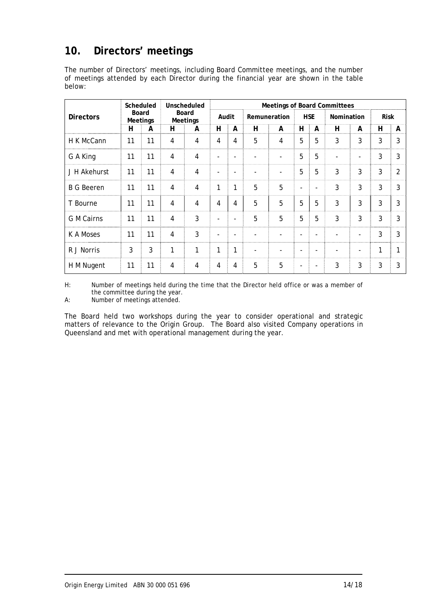# **10. Directors' meetings**

The number of Directors' meetings, including Board Committee meetings, and the number of meetings attended by each Director during the financial year are shown in the table below:

|                   |    | Scheduled                |                | Unscheduled              |                          |                          |   | <b>Meetings of Board Committees</b> |                          |                          |            |                          |             |                |
|-------------------|----|--------------------------|----------------|--------------------------|--------------------------|--------------------------|---|-------------------------------------|--------------------------|--------------------------|------------|--------------------------|-------------|----------------|
| <b>Directors</b>  |    | Board<br><b>Meetings</b> |                | Board<br><b>Meetings</b> |                          | Audit                    |   | Remuneration                        |                          | <b>HSE</b>               | Nomination |                          | <b>Risk</b> |                |
|                   | н  | A                        | н              | A                        | н                        | A                        | H | A                                   | н                        | Α                        | H          | A                        | н           | A              |
| H K McCann        | 11 | 11                       | 4              | $\overline{4}$           | 4                        | 4                        | 5 | 4                                   | 5                        | 5                        | 3          | 3                        | 3           | 3              |
| G A King          | 11 | 11                       | $\overline{4}$ | 4                        |                          |                          |   | $\overline{a}$                      | 5                        | 5                        |            |                          | 3           | 3              |
| J H Akehurst      | 11 | 11                       | 4              | 4                        |                          | $\qquad \qquad -$        |   | $\qquad \qquad \blacksquare$        | 5                        | 5                        | 3          | 3                        | 3           | $\overline{2}$ |
| <b>B G Beeren</b> | 11 | 11                       | $\overline{4}$ | $\overline{4}$           | 1                        | 1                        | 5 | 5                                   | $\blacksquare$           | $\blacksquare$           | 3          | 3                        | 3           | 3              |
| T Bourne          | 11 | 11                       | $\overline{4}$ | 4                        | 4                        | 4                        | 5 | 5                                   | 5                        | 5                        | 3          | 3                        | 3           | 3              |
| <b>G</b> M Cairns | 11 | 11                       | $\overline{4}$ | 3                        |                          | $\overline{\phantom{a}}$ | 5 | 5                                   | 5                        | 5                        | 3          | 3                        | 3           | 3              |
| K A Moses         | 11 | 11                       | $\overline{4}$ | 3                        | $\overline{\phantom{a}}$ | $\overline{\phantom{a}}$ |   | $\blacksquare$                      |                          |                          |            | $\overline{\phantom{a}}$ | 3           | 3              |
| R J Norris        | 3  | 3                        | 1              | 1                        | 1                        | 1                        |   |                                     |                          |                          |            |                          | 1           | 1              |
| H M Nugent        | 11 | 11                       | 4              | 4                        | 4                        | 4                        | 5 | 5                                   | $\overline{\phantom{a}}$ | $\overline{\phantom{a}}$ | 3          | 3                        | 3           | 3              |

H: Number of meetings held during the time that the Director held office or was a member of the committee during the year.

A: Number of meetings attended.

The Board held two workshops during the year to consider operational and strategic matters of relevance to the Origin Group. The Board also visited Company operations in Queensland and met with operational management during the year.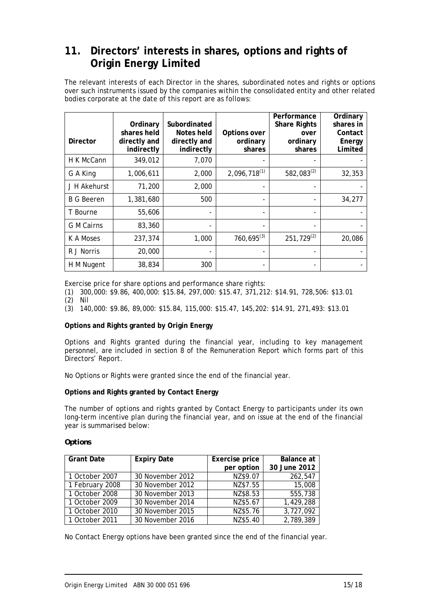# **11. Directors' interests in shares, options and rights of Origin Energy Limited**

The relevant interests of each Director in the shares, subordinated notes and rights or options over such instruments issued by the companies within the consolidated entity and other related bodies corporate at the date of this report are as follows:

| <b>Director</b>   | Ordinary<br>shares held<br>directly and<br>indirectly | Subordinated<br>Notes held<br>directly and<br>indirectly | Options over<br>ordinary<br>shares | Performance<br><b>Share Rights</b><br>over<br>ordinary<br>shares | Ordinary<br>shares in<br>Contact<br>Energy<br>Limited |
|-------------------|-------------------------------------------------------|----------------------------------------------------------|------------------------------------|------------------------------------------------------------------|-------------------------------------------------------|
| H K McCann        | 349,012                                               | 7,070                                                    |                                    |                                                                  |                                                       |
| G A King          | 1,006,611                                             | 2,000                                                    | $2,096,718^{(1)}$                  | 582,083 $(2)$                                                    | 32,353                                                |
| J H Akehurst      | 71,200                                                | 2,000                                                    |                                    |                                                                  |                                                       |
| <b>B G Beeren</b> | 1,381,680                                             | 500                                                      |                                    |                                                                  | 34,277                                                |
| T Bourne          | 55,606                                                |                                                          |                                    |                                                                  |                                                       |
| <b>G</b> M Cairns | 83,360                                                |                                                          |                                    |                                                                  |                                                       |
| K A Moses         | 237,374                                               | 1,000                                                    | $760,695^{(3)}$                    | $251,729^{(2)}$                                                  | 20,086                                                |
| R J Norris        | 20,000                                                |                                                          |                                    |                                                                  |                                                       |
| H M Nugent        | 38,834                                                | 300                                                      |                                    |                                                                  |                                                       |

Exercise price for share options and performance share rights:

(1) 300,000: \$9.86, 400,000: \$15.84, 297,000: \$15.47, 371,212: \$14.91, 728,506: \$13.01

- (2) Nil
- (3) 140,000: \$9.86, 89,000: \$15.84, 115,000: \$15.47, 145,202: \$14.91, 271,493: \$13.01

#### **Options and Rights granted by Origin Energy**

Options and Rights granted during the financial year, including to key management personnel, are included in section 8 of the Remuneration Report which forms part of this Directors' Report.

No Options or Rights were granted since the end of the financial year.

#### **Options and Rights granted by Contact Energy**

The number of options and rights granted by Contact Energy to participants under its own long-term incentive plan during the financial year, and on issue at the end of the financial year is summarised below:

#### *Options*

| <b>Grant Date</b> | <b>Expiry Date</b> | Exercise price | Balance at   |
|-------------------|--------------------|----------------|--------------|
|                   |                    | per option     | 30 June 2012 |
| 1 October 2007    | 30 November 2012   | NZ\$9.07       | 262,547      |
| 1 February 2008   | 30 November 2012   | NZ\$7.55       | 15,008       |
| 1 October 2008    | 30 November 2013   | NZ\$8.53       | 555,738      |
| 1 October 2009    | 30 November 2014   | NZ\$5.67       | 1,429,288    |
| 1 October 2010    | 30 November 2015   | NZ\$5.76       | 3,727,092    |
| 1 October 2011    | 30 November 2016   | NZ\$5.40       | 2,789,389    |

No Contact Energy options have been granted since the end of the financial year.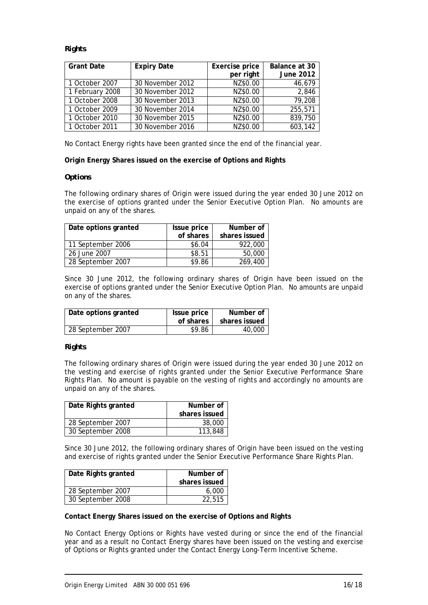### *Rights*

| <b>Grant Date</b> | <b>Expiry Date</b> | Exercise price | Balance at 30    |
|-------------------|--------------------|----------------|------------------|
|                   |                    | per right      | <b>June 2012</b> |
| 1 October 2007    | 30 November 2012   | NZ\$0.00       | 46,679           |
| 1 February 2008   | 30 November 2012   | NZ\$0.00       | 2,846            |
| 1 October 2008    | 30 November 2013   | NZ\$0.00       | 79,208           |
| 1 October 2009    | 30 November 2014   | NZ\$0.00       | 255,571          |
| 1 October 2010    | 30 November 2015   | NZ\$0.00       | 839,750          |
| 1 October 2011    | 30 November 2016   | NZ\$0.00       | 603,142          |

No Contact Energy rights have been granted since the end of the financial year.

**Origin Energy Shares issued on the exercise of Options and Rights**

#### *Options*

The following ordinary shares of Origin were issued during the year ended 30 June 2012 on the exercise of options granted under the Senior Executive Option Plan. No amounts are unpaid on any of the shares.

| Date options granted | Issue price | Number of     |
|----------------------|-------------|---------------|
|                      | of shares   | shares issued |
| 11 September 2006    | \$6.04      | 922,000       |
| 26 June 2007         | \$8.51      | 50,000        |
| 28 September 2007    | \$9.86      | 269,400       |

Since 30 June 2012, the following ordinary shares of Origin have been issued on the exercise of options granted under the Senior Executive Option Plan. No amounts are unpaid on any of the shares.

| Date options granted | Issue price<br>of shares | Number of<br>shares issued |
|----------------------|--------------------------|----------------------------|
| 28 September 2007    | \$9.86                   | 40,000                     |

#### *Rights*

The following ordinary shares of Origin were issued during the year ended 30 June 2012 on the vesting and exercise of rights granted under the Senior Executive Performance Share Rights Plan. No amount is payable on the vesting of rights and accordingly no amounts are unpaid on any of the shares.

| Date Rights granted | Number of<br>shares issued |  |
|---------------------|----------------------------|--|
| 28 September 2007   | 38,000                     |  |
| 30 September 2008   | 113,848                    |  |

Since 30 June 2012, the following ordinary shares of Origin have been issued on the vesting and exercise of rights granted under the Senior Executive Performance Share Rights Plan.

| Date Rights granted | Number of     |  |
|---------------------|---------------|--|
|                     | shares issued |  |
| 28 September 2007   | 6.000         |  |
| 30 September 2008   | 22,515        |  |

#### **Contact Energy Shares issued on the exercise of Options and Rights**

No Contact Energy Options or Rights have vested during or since the end of the financial year and as a result no Contact Energy shares have been issued on the vesting and exercise of Options or Rights granted under the Contact Energy Long-Term Incentive Scheme.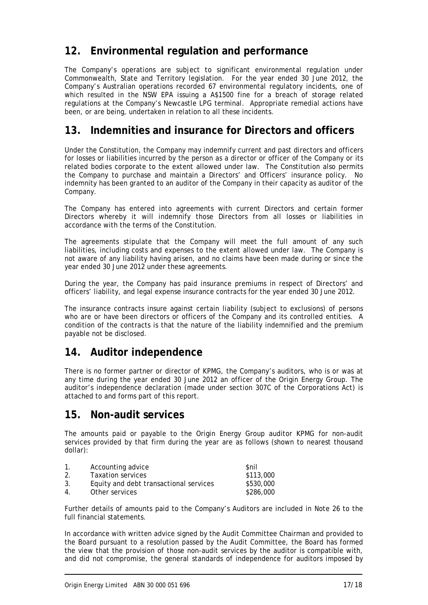# **12. Environmental regulation and performance**

The Company's operations are subject to significant environmental regulation under Commonwealth, State and Territory legislation. For the year ended 30 June 2012, the Company's Australian operations recorded 67 environmental regulatory incidents, one of which resulted in the NSW EPA issuing a A\$1500 fine for a breach of storage related regulations at the Company's Newcastle LPG terminal. Appropriate remedial actions have been, or are being, undertaken in relation to all these incidents.

### **13. Indemnities and insurance for Directors and officers**

Under the Constitution, the Company may indemnify current and past directors and officers for losses or liabilities incurred by the person as a director or officer of the Company or its related bodies corporate to the extent allowed under law. The Constitution also permits the Company to purchase and maintain a Directors' and Officers' insurance policy. No indemnity has been granted to an auditor of the Company in their capacity as auditor of the Company.

The Company has entered into agreements with current Directors and certain former Directors whereby it will indemnify those Directors from all losses or liabilities in accordance with the terms of the Constitution.

The agreements stipulate that the Company will meet the full amount of any such liabilities, including costs and expenses to the extent allowed under law. The Company is not aware of any liability having arisen, and no claims have been made during or since the year ended 30 June 2012 under these agreements.

During the year, the Company has paid insurance premiums in respect of Directors' and officers' liability, and legal expense insurance contracts for the year ended 30 June 2012.

The insurance contracts insure against certain liability (subject to exclusions) of persons who are or have been directors or officers of the Company and its controlled entities. A condition of the contracts is that the nature of the liability indemnified and the premium payable not be disclosed.

# **14. Auditor independence**

There is no former partner or director of KPMG, the Company's auditors, who is or was at any time during the year ended 30 June 2012 an officer of the Origin Energy Group. The auditor's independence declaration (made under section 307C of the Corporations Act) is attached to and forms part of this report.

### **15. Non-audit services**

The amounts paid or payable to the Origin Energy Group auditor KPMG for non-audit services provided by that firm during the year are as follows (shown to nearest thousand dollar):

| $\mathbf{1}$ . | Accounting advice                      | <b>Snil</b> |
|----------------|----------------------------------------|-------------|
| 2.             | <b>Taxation services</b>               | \$113,000   |
| 3.             | Equity and debt transactional services | \$530,000   |
| 4              | Other services                         | \$286,000   |

Further details of amounts paid to the Company's Auditors are included in Note 26 to the full financial statements.

In accordance with written advice signed by the Audit Committee Chairman and provided to the Board pursuant to a resolution passed by the Audit Committee, the Board has formed the view that the provision of those non-audit services by the auditor is compatible with, and did not compromise, the general standards of independence for auditors imposed by